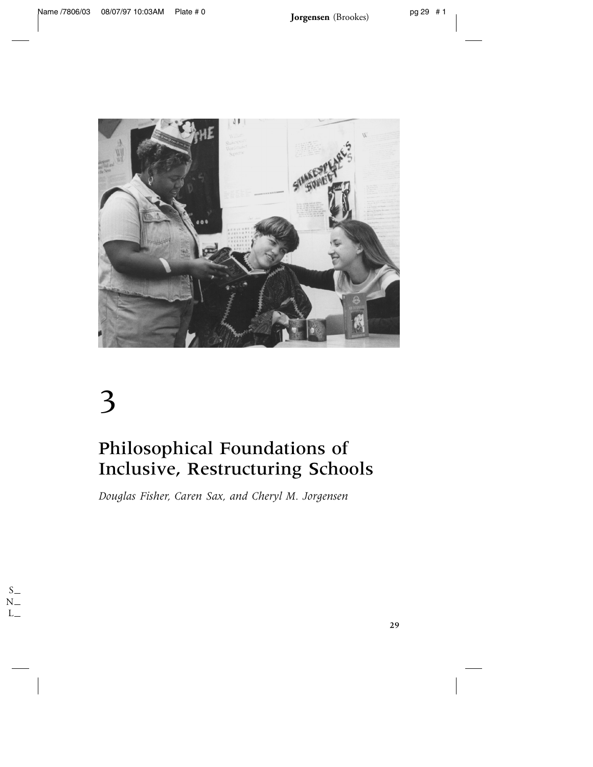29



# 3

 $S_{-}$  $N_{-}$  $L_{-}$ 

# Philosophical Foundations of Inclusive, Restructuring Schools

*Douglas Fisher, Caren Sax, and Cheryl M. Jorgensen*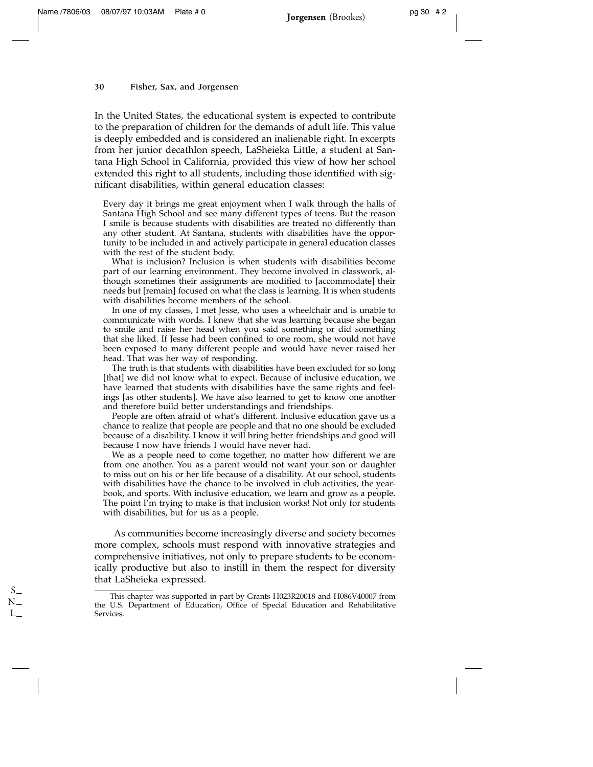S  $N_{-}$ L. 30 Fisher, Sax, and Jorgensen

In the United States, the educational system is expected to contribute to the preparation of children for the demands of adult life. This value is deeply embedded and is considered an inalienable right. In excerpts from her junior decathlon speech, LaSheieka Little, a student at Santana High School in California, provided this view of how her school extended this right to all students, including those identified with significant disabilities, within general education classes:

Every day it brings me great enjoyment when I walk through the halls of Santana High School and see many different types of teens. But the reason I smile is because students with disabilities are treated no differently than any other student. At Santana, students with disabilities have the opportunity to be included in and actively participate in general education classes with the rest of the student body.

What is inclusion? Inclusion is when students with disabilities become part of our learning environment. They become involved in classwork, although sometimes their assignments are modified to [accommodate] their needs but [remain] focused on what the class is learning. It is when students with disabilities become members of the school.

In one of my classes, I met Jesse, who uses a wheelchair and is unable to communicate with words. I knew that she was learning because she began to smile and raise her head when you said something or did something that she liked. If Jesse had been confined to one room, she would not have been exposed to many different people and would have never raised her head. That was her way of responding.

The truth is that students with disabilities have been excluded for so long [that] we did not know what to expect. Because of inclusive education, we have learned that students with disabilities have the same rights and feelings [as other students]. We have also learned to get to know one another and therefore build better understandings and friendships.

People are often afraid of what's different. Inclusive education gave us a chance to realize that people are people and that no one should be excluded because of a disability. I know it will bring better friendships and good will because I now have friends I would have never had.

We as a people need to come together, no matter how different we are from one another. You as a parent would not want your son or daughter to miss out on his or her life because of a disability. At our school, students with disabilities have the chance to be involved in club activities, the yearbook, and sports. With inclusive education, we learn and grow as a people. The point I'm trying to make is that inclusion works! Not only for students with disabilities, but for us as a people.

As communities become increasingly diverse and society becomes more complex, schools must respond with innovative strategies and comprehensive initiatives, not only to prepare students to be economically productive but also to instill in them the respect for diversity that LaSheieka expressed.

This chapter was supported in part by Grants H023R20018 and H086V40007 from the U.S. Department of Education, Office of Special Education and Rehabilitative Services.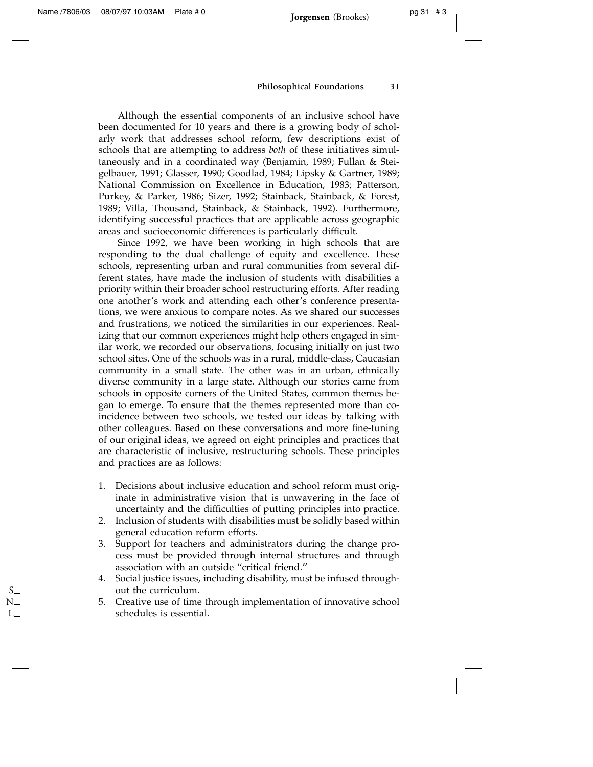Although the essential components of an inclusive school have been documented for 10 years and there is a growing body of scholarly work that addresses school reform, few descriptions exist of schools that are attempting to address *both* of these initiatives simultaneously and in a coordinated way (Benjamin, 1989; Fullan & Steigelbauer, 1991; Glasser, 1990; Goodlad, 1984; Lipsky & Gartner, 1989; National Commission on Excellence in Education, 1983; Patterson, Purkey, & Parker, 1986; Sizer, 1992; Stainback, Stainback, & Forest, 1989; Villa, Thousand, Stainback, & Stainback, 1992). Furthermore, identifying successful practices that are applicable across geographic areas and socioeconomic differences is particularly difficult.

Since 1992, we have been working in high schools that are responding to the dual challenge of equity and excellence. These schools, representing urban and rural communities from several different states, have made the inclusion of students with disabilities a priority within their broader school restructuring efforts. After reading one another's work and attending each other's conference presentations, we were anxious to compare notes. As we shared our successes and frustrations, we noticed the similarities in our experiences. Realizing that our common experiences might help others engaged in similar work, we recorded our observations, focusing initially on just two school sites. One of the schools was in a rural, middle-class, Caucasian community in a small state. The other was in an urban, ethnically diverse community in a large state. Although our stories came from schools in opposite corners of the United States, common themes began to emerge. To ensure that the themes represented more than coincidence between two schools, we tested our ideas by talking with other colleagues. Based on these conversations and more fine-tuning of our original ideas, we agreed on eight principles and practices that are characteristic of inclusive, restructuring schools. These principles and practices are as follows:

- 1. Decisions about inclusive education and school reform must originate in administrative vision that is unwavering in the face of uncertainty and the difficulties of putting principles into practice.
- 2. Inclusion of students with disabilities must be solidly based within general education reform efforts.
- 3. Support for teachers and administrators during the change process must be provided through internal structures and through association with an outside ''critical friend.''
- 4. Social justice issues, including disability, must be infused throughout the curriculum.
- 5. Creative use of time through implementation of innovative school schedules is essential.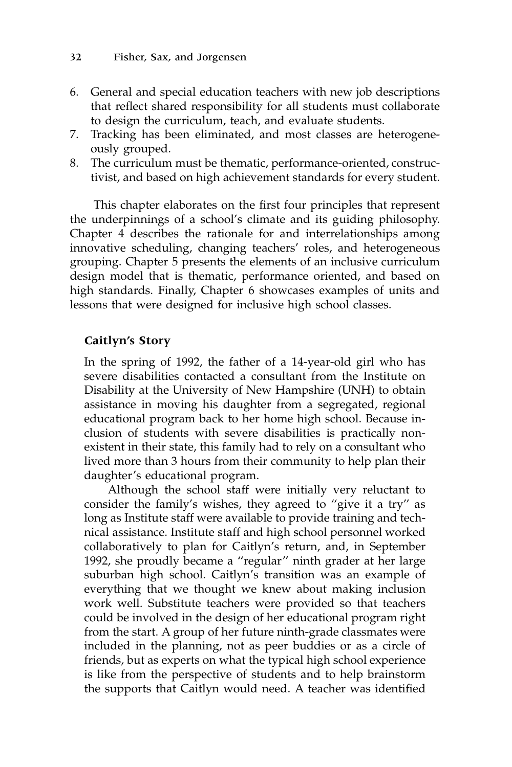- 6. General and special education teachers with new job descriptions that reflect shared responsibility for all students must collaborate to design the curriculum, teach, and evaluate students.
- 7. Tracking has been eliminated, and most classes are heterogeneously grouped.
- 8. The curriculum must be thematic, performance-oriented, constructivist, and based on high achievement standards for every student.

This chapter elaborates on the first four principles that represent the underpinnings of a school's climate and its guiding philosophy. Chapter 4 describes the rationale for and interrelationships among innovative scheduling, changing teachers' roles, and heterogeneous grouping. Chapter 5 presents the elements of an inclusive curriculum design model that is thematic, performance oriented, and based on high standards. Finally, Chapter 6 showcases examples of units and lessons that were designed for inclusive high school classes.

# **Caitlyn's Story**

In the spring of 1992, the father of a 14-year-old girl who has severe disabilities contacted a consultant from the Institute on Disability at the University of New Hampshire (UNH) to obtain assistance in moving his daughter from a segregated, regional educational program back to her home high school. Because inclusion of students with severe disabilities is practically nonexistent in their state, this family had to rely on a consultant who lived more than 3 hours from their community to help plan their daughter's educational program.

Although the school staff were initially very reluctant to consider the family's wishes, they agreed to ''give it a try'' as long as Institute staff were available to provide training and technical assistance. Institute staff and high school personnel worked collaboratively to plan for Caitlyn's return, and, in September 1992, she proudly became a ''regular'' ninth grader at her large suburban high school. Caitlyn's transition was an example of everything that we thought we knew about making inclusion work well. Substitute teachers were provided so that teachers could be involved in the design of her educational program right from the start. A group of her future ninth-grade classmates were included in the planning, not as peer buddies or as a circle of friends, but as experts on what the typical high school experience is like from the perspective of students and to help brainstorm the supports that Caitlyn would need. A teacher was identified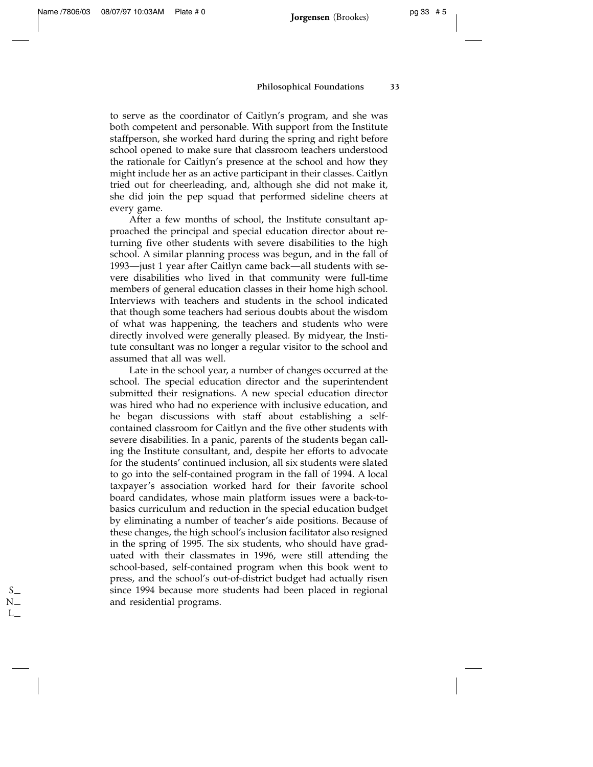**Jorgensen** (Brookes)

S N  $L_{-}$  to serve as the coordinator of Caitlyn's program, and she was both competent and personable. With support from the Institute staffperson, she worked hard during the spring and right before school opened to make sure that classroom teachers understood the rationale for Caitlyn's presence at the school and how they might include her as an active participant in their classes. Caitlyn tried out for cheerleading, and, although she did not make it, she did join the pep squad that performed sideline cheers at every game.

After a few months of school, the Institute consultant approached the principal and special education director about returning five other students with severe disabilities to the high school. A similar planning process was begun, and in the fall of 1993—just 1 year after Caitlyn came back—all students with severe disabilities who lived in that community were full-time members of general education classes in their home high school. Interviews with teachers and students in the school indicated that though some teachers had serious doubts about the wisdom of what was happening, the teachers and students who were directly involved were generally pleased. By midyear, the Institute consultant was no longer a regular visitor to the school and assumed that all was well.

Late in the school year, a number of changes occurred at the school. The special education director and the superintendent submitted their resignations. A new special education director was hired who had no experience with inclusive education, and he began discussions with staff about establishing a selfcontained classroom for Caitlyn and the five other students with severe disabilities. In a panic, parents of the students began calling the Institute consultant, and, despite her efforts to advocate for the students' continued inclusion, all six students were slated to go into the self-contained program in the fall of 1994. A local taxpayer's association worked hard for their favorite school board candidates, whose main platform issues were a back-tobasics curriculum and reduction in the special education budget by eliminating a number of teacher's aide positions. Because of these changes, the high school's inclusion facilitator also resigned in the spring of 1995. The six students, who should have graduated with their classmates in 1996, were still attending the school-based, self-contained program when this book went to press, and the school's out-of-district budget had actually risen since 1994 because more students had been placed in regional and residential programs.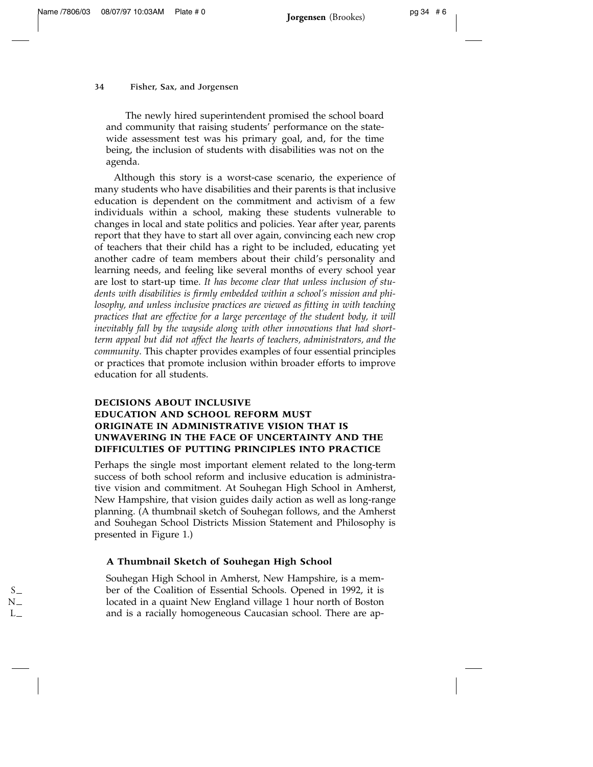The newly hired superintendent promised the school board and community that raising students' performance on the statewide assessment test was his primary goal, and, for the time being, the inclusion of students with disabilities was not on the agenda.

Although this story is a worst-case scenario, the experience of many students who have disabilities and their parents is that inclusive education is dependent on the commitment and activism of a few individuals within a school, making these students vulnerable to changes in local and state politics and policies. Year after year, parents report that they have to start all over again, convincing each new crop of teachers that their child has a right to be included, educating yet another cadre of team members about their child's personality and learning needs, and feeling like several months of every school year are lost to start-up time. *It has become clear that unless inclusion of students with disabilities is firmly embedded within a school's mission and philosophy, and unless inclusive practices are viewed as fitting in with teaching practices that are effective for a large percentage of the student body, it will inevitably fall by the wayside along with other innovations that had shortterm appeal but did not affect the hearts of teachers, administrators, and the community*. This chapter provides examples of four essential principles or practices that promote inclusion within broader efforts to improve education for all students.

# **DECISIONS ABOUT INCLUSIVE EDUCATION AND SCHOOL REFORM MUST ORIGINATE IN ADMINISTRATIVE VISION THAT IS UNWAVERING IN THE FACE OF UNCERTAINTY AND THE DIFFICULTIES OF PUTTING PRINCIPLES INTO PRACTICE**

Perhaps the single most important element related to the long-term success of both school reform and inclusive education is administrative vision and commitment. At Souhegan High School in Amherst, New Hampshire, that vision guides daily action as well as long-range planning. (A thumbnail sketch of Souhegan follows, and the Amherst and Souhegan School Districts Mission Statement and Philosophy is presented in Figure 1.)

# **A Thumbnail Sketch of Souhegan High School**

S  $N_{-}$  $L_{-}$  Souhegan High School in Amherst, New Hampshire, is a member of the Coalition of Essential Schools. Opened in 1992, it is located in a quaint New England village 1 hour north of Boston and is a racially homogeneous Caucasian school. There are ap-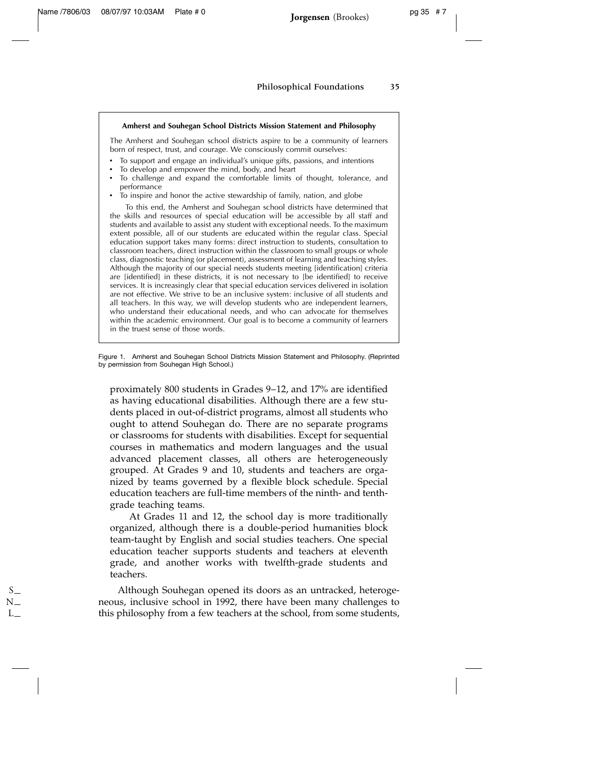S N L.

#### **Amherst and Souhegan School Districts Mission Statement and Philosophy**

The Amherst and Souhegan school districts aspire to be a community of learners born of respect, trust, and courage. We consciously commit ourselves:

- To support and engage an individual's unique gifts, passions, and intentions
- To develop and empower the mind, body, and heart
- To challenge and expand the comfortable limits of thought, tolerance, and performance
- To inspire and honor the active stewardship of family, nation, and globe

To this end, the Amherst and Souhegan school districts have determined that the skills and resources of special education will be accessible by all staff and students and available to assist any student with exceptional needs. To the maximum extent possible, all of our students are educated within the regular class. Special education support takes many forms: direct instruction to students, consultation to classroom teachers, direct instruction within the classroom to small groups or whole class, diagnostic teaching (or placement), assessment of learning and teaching styles. Although the majority of our special needs students meeting [identification] criteria are [identified] in these districts, it is not necessary to [be identified] to receive services. It is increasingly clear that special education services delivered in isolation are not effective. We strive to be an inclusive system: inclusive of all students and all teachers. In this way, we will develop students who are independent learners, who understand their educational needs, and who can advocate for themselves within the academic environment. Our goal is to become a community of learners in the truest sense of those words.

Figure 1. Amherst and Souhegan School Districts Mission Statement and Philosophy. (Reprinted by permission from Souhegan High School.)

proximately 800 students in Grades 9–12, and 17% are identified as having educational disabilities. Although there are a few students placed in out-of-district programs, almost all students who ought to attend Souhegan do. There are no separate programs or classrooms for students with disabilities. Except for sequential courses in mathematics and modern languages and the usual advanced placement classes, all others are heterogeneously grouped. At Grades 9 and 10, students and teachers are organized by teams governed by a flexible block schedule. Special education teachers are full-time members of the ninth- and tenthgrade teaching teams.

At Grades 11 and 12, the school day is more traditionally organized, although there is a double-period humanities block team-taught by English and social studies teachers. One special education teacher supports students and teachers at eleventh grade, and another works with twelfth-grade students and teachers.

Although Souhegan opened its doors as an untracked, heterogeneous, inclusive school in 1992, there have been many challenges to this philosophy from a few teachers at the school, from some students,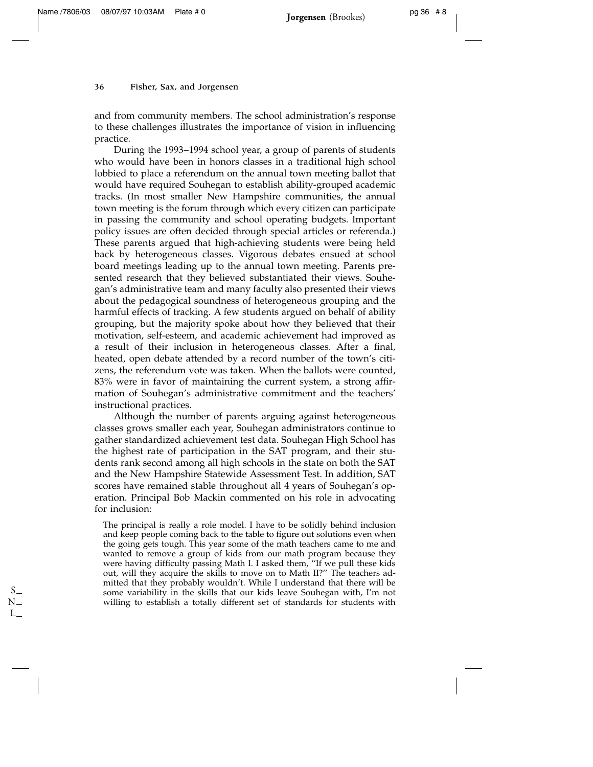S  $N_{-}$  $L_{-}$  36 Fisher, Sax, and Jorgensen

and from community members. The school administration's response to these challenges illustrates the importance of vision in influencing practice.

During the 1993–1994 school year, a group of parents of students who would have been in honors classes in a traditional high school lobbied to place a referendum on the annual town meeting ballot that would have required Souhegan to establish ability-grouped academic tracks. (In most smaller New Hampshire communities, the annual town meeting is the forum through which every citizen can participate in passing the community and school operating budgets. Important policy issues are often decided through special articles or referenda.) These parents argued that high-achieving students were being held back by heterogeneous classes. Vigorous debates ensued at school board meetings leading up to the annual town meeting. Parents presented research that they believed substantiated their views. Souhegan's administrative team and many faculty also presented their views about the pedagogical soundness of heterogeneous grouping and the harmful effects of tracking. A few students argued on behalf of ability grouping, but the majority spoke about how they believed that their motivation, self-esteem, and academic achievement had improved as a result of their inclusion in heterogeneous classes. After a final, heated, open debate attended by a record number of the town's citizens, the referendum vote was taken. When the ballots were counted, 83% were in favor of maintaining the current system, a strong affirmation of Souhegan's administrative commitment and the teachers' instructional practices.

Although the number of parents arguing against heterogeneous classes grows smaller each year, Souhegan administrators continue to gather standardized achievement test data. Souhegan High School has the highest rate of participation in the SAT program, and their students rank second among all high schools in the state on both the SAT and the New Hampshire Statewide Assessment Test. In addition, SAT scores have remained stable throughout all 4 years of Souhegan's operation. Principal Bob Mackin commented on his role in advocating for inclusion:

The principal is really a role model. I have to be solidly behind inclusion and keep people coming back to the table to figure out solutions even when the going gets tough. This year some of the math teachers came to me and wanted to remove a group of kids from our math program because they were having difficulty passing Math I. I asked them, ''If we pull these kids out, will they acquire the skills to move on to Math II?'' The teachers admitted that they probably wouldn't. While I understand that there will be some variability in the skills that our kids leave Souhegan with, I'm not willing to establish a totally different set of standards for students with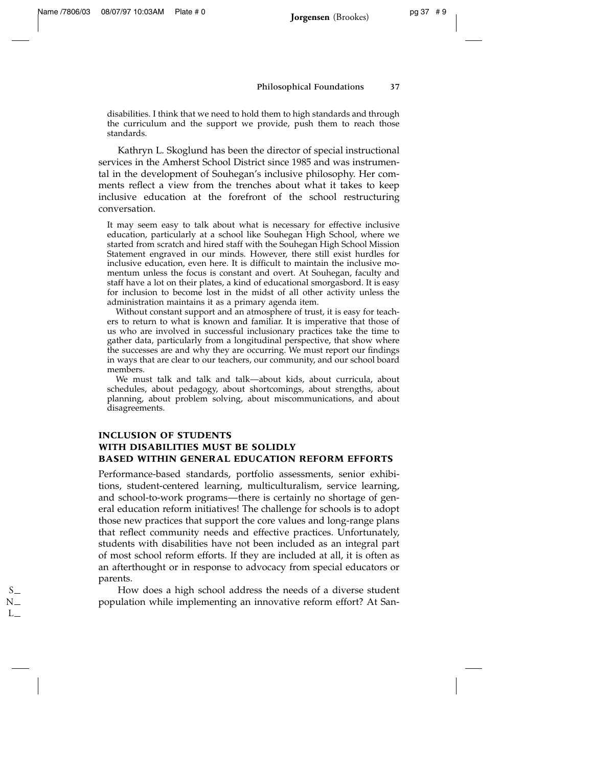**Jorgensen** (Brookes)

disabilities. I think that we need to hold them to high standards and through the curriculum and the support we provide, push them to reach those standards.

Kathryn L. Skoglund has been the director of special instructional services in the Amherst School District since 1985 and was instrumental in the development of Souhegan's inclusive philosophy. Her comments reflect a view from the trenches about what it takes to keep inclusive education at the forefront of the school restructuring conversation.

It may seem easy to talk about what is necessary for effective inclusive education, particularly at a school like Souhegan High School, where we started from scratch and hired staff with the Souhegan High School Mission Statement engraved in our minds. However, there still exist hurdles for inclusive education, even here. It is difficult to maintain the inclusive momentum unless the focus is constant and overt. At Souhegan, faculty and staff have a lot on their plates, a kind of educational smorgasbord. It is easy for inclusion to become lost in the midst of all other activity unless the administration maintains it as a primary agenda item.

Without constant support and an atmosphere of trust, it is easy for teachers to return to what is known and familiar. It is imperative that those of us who are involved in successful inclusionary practices take the time to gather data, particularly from a longitudinal perspective, that show where the successes are and why they are occurring. We must report our findings in ways that are clear to our teachers, our community, and our school board members.

We must talk and talk and talk—about kids, about curricula, about schedules, about pedagogy, about shortcomings, about strengths, about planning, about problem solving, about miscommunications, and about disagreements.

# **INCLUSION OF STUDENTS WITH DISABILITIES MUST BE SOLIDLY BASED WITHIN GENERAL EDUCATION REFORM EFFORTS**

Performance-based standards, portfolio assessments, senior exhibitions, student-centered learning, multiculturalism, service learning, and school-to-work programs—there is certainly no shortage of general education reform initiatives! The challenge for schools is to adopt those new practices that support the core values and long-range plans that reflect community needs and effective practices. Unfortunately, students with disabilities have not been included as an integral part of most school reform efforts. If they are included at all, it is often as an afterthought or in response to advocacy from special educators or parents.

How does a high school address the needs of a diverse student population while implementing an innovative reform effort? At San-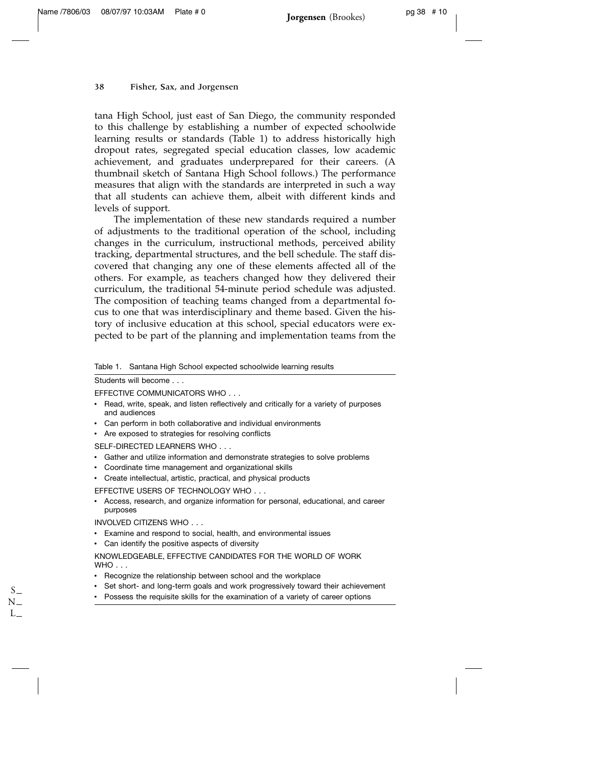tana High School, just east of San Diego, the community responded to this challenge by establishing a number of expected schoolwide learning results or standards (Table 1) to address historically high dropout rates, segregated special education classes, low academic achievement, and graduates underprepared for their careers. (A thumbnail sketch of Santana High School follows.) The performance measures that align with the standards are interpreted in such a way that all students can achieve them, albeit with different kinds and levels of support.

The implementation of these new standards required a number of adjustments to the traditional operation of the school, including changes in the curriculum, instructional methods, perceived ability tracking, departmental structures, and the bell schedule. The staff discovered that changing any one of these elements affected all of the others. For example, as teachers changed how they delivered their curriculum, the traditional 54-minute period schedule was adjusted. The composition of teaching teams changed from a departmental focus to one that was interdisciplinary and theme based. Given the history of inclusive education at this school, special educators were expected to be part of the planning and implementation teams from the

#### Table 1. Santana High School expected schoolwide learning results

#### Students will become . . .

EFFECTIVE COMMUNICATORS WHO . . .

- Read, write, speak, and listen reflectively and critically for a variety of purposes and audiences
- Can perform in both collaborative and individual environments
- Are exposed to strategies for resolving conflicts

SELF-DIRECTED LEARNERS WHO . . .

- Gather and utilize information and demonstrate strategies to solve problems
- Coordinate time management and organizational skills
- Create intellectual, artistic, practical, and physical products
- EFFECTIVE USERS OF TECHNOLOGY WHO . . .
- Access, research, and organize information for personal, educational, and career purposes

INVOLVED CITIZENS WHO . . .

S  $N_{-}$  $L_{-}$ 

- Examine and respond to social, health, and environmental issues
- Can identify the positive aspects of diversity

KNOWLEDGEABLE, EFFECTIVE CANDIDATES FOR THE WORLD OF WORK WHO . . .

- Recognize the relationship between school and the workplace
- Set short- and long-term goals and work progressively toward their achievement
- Possess the requisite skills for the examination of a variety of career options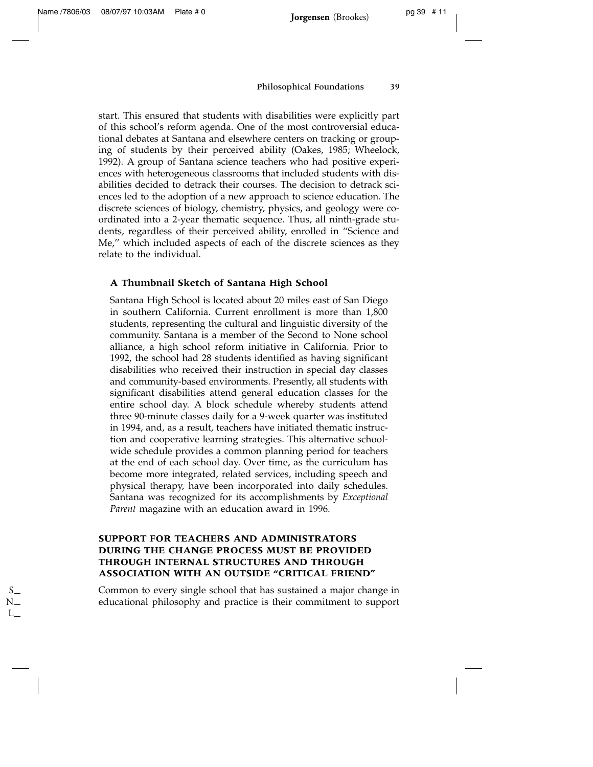**Jorgensen** (Brookes)

start. This ensured that students with disabilities were explicitly part of this school's reform agenda. One of the most controversial educational debates at Santana and elsewhere centers on tracking or grouping of students by their perceived ability (Oakes, 1985; Wheelock, 1992). A group of Santana science teachers who had positive experiences with heterogeneous classrooms that included students with disabilities decided to detrack their courses. The decision to detrack sciences led to the adoption of a new approach to science education. The discrete sciences of biology, chemistry, physics, and geology were coordinated into a 2-year thematic sequence. Thus, all ninth-grade students, regardless of their perceived ability, enrolled in ''Science and Me,'' which included aspects of each of the discrete sciences as they relate to the individual.

# **A Thumbnail Sketch of Santana High School**

Santana High School is located about 20 miles east of San Diego in southern California. Current enrollment is more than 1,800 students, representing the cultural and linguistic diversity of the community. Santana is a member of the Second to None school alliance, a high school reform initiative in California. Prior to 1992, the school had 28 students identified as having significant disabilities who received their instruction in special day classes and community-based environments. Presently, all students with significant disabilities attend general education classes for the entire school day. A block schedule whereby students attend three 90-minute classes daily for a 9-week quarter was instituted in 1994, and, as a result, teachers have initiated thematic instruction and cooperative learning strategies. This alternative schoolwide schedule provides a common planning period for teachers at the end of each school day. Over time, as the curriculum has become more integrated, related services, including speech and physical therapy, have been incorporated into daily schedules. Santana was recognized for its accomplishments by *Exceptional Parent* magazine with an education award in 1996.

# **SUPPORT FOR TEACHERS AND ADMINISTRATORS DURING THE CHANGE PROCESS MUST BE PROVIDED THROUGH INTERNAL STRUCTURES AND THROUGH ASSOCIATION WITH AN OUTSIDE ''CRITICAL FRIEND''**

Common to every single school that has sustained a major change in educational philosophy and practice is their commitment to support

S  $N_{-}$  $L_{-}$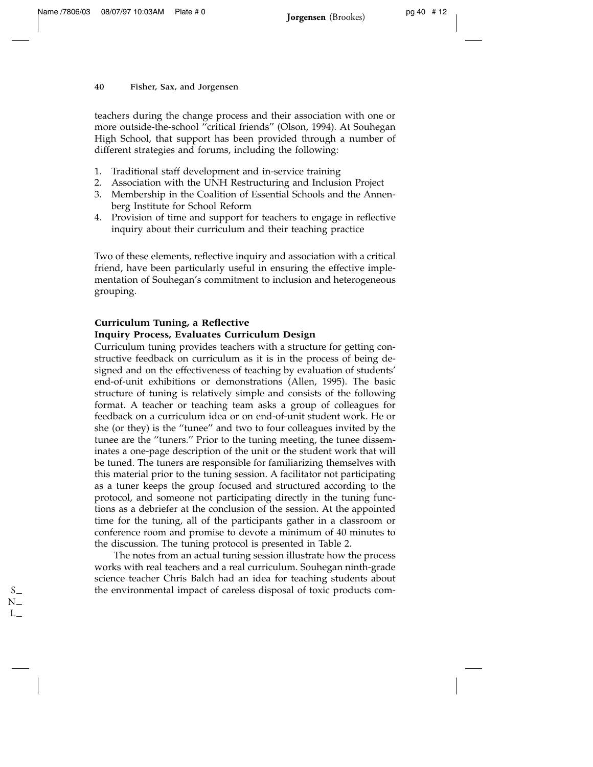teachers during the change process and their association with one or more outside-the-school ''critical friends'' (Olson, 1994). At Souhegan High School, that support has been provided through a number of different strategies and forums, including the following:

- 1. Traditional staff development and in-service training
- 2. Association with the UNH Restructuring and Inclusion Project
- 3. Membership in the Coalition of Essential Schools and the Annenberg Institute for School Reform
- 4. Provision of time and support for teachers to engage in reflective inquiry about their curriculum and their teaching practice

Two of these elements, reflective inquiry and association with a critical friend, have been particularly useful in ensuring the effective implementation of Souhegan's commitment to inclusion and heterogeneous grouping.

# **Curriculum Tuning, a Reflective Inquiry Process, Evaluates Curriculum Design**

Curriculum tuning provides teachers with a structure for getting constructive feedback on curriculum as it is in the process of being designed and on the effectiveness of teaching by evaluation of students' end-of-unit exhibitions or demonstrations (Allen, 1995). The basic structure of tuning is relatively simple and consists of the following format. A teacher or teaching team asks a group of colleagues for feedback on a curriculum idea or on end-of-unit student work. He or she (or they) is the ''tunee'' and two to four colleagues invited by the tunee are the ''tuners.'' Prior to the tuning meeting, the tunee disseminates a one-page description of the unit or the student work that will be tuned. The tuners are responsible for familiarizing themselves with this material prior to the tuning session. A facilitator not participating as a tuner keeps the group focused and structured according to the protocol, and someone not participating directly in the tuning functions as a debriefer at the conclusion of the session. At the appointed time for the tuning, all of the participants gather in a classroom or conference room and promise to devote a minimum of 40 minutes to the discussion. The tuning protocol is presented in Table 2.

The notes from an actual tuning session illustrate how the process works with real teachers and a real curriculum. Souhegan ninth-grade science teacher Chris Balch had an idea for teaching students about the environmental impact of careless disposal of toxic products com-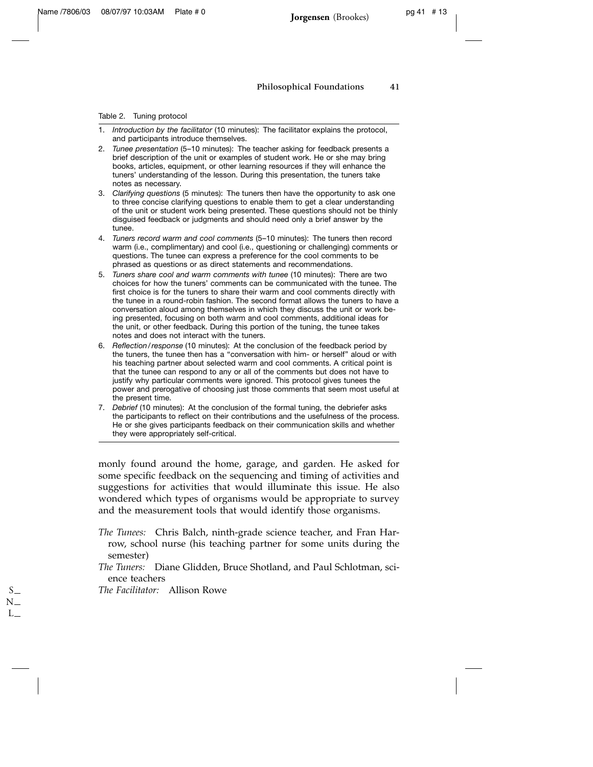Table 2. Tuning protocol

- 1. *Introduction by the facilitator* (10 minutes): The facilitator explains the protocol, and participants introduce themselves.
- 2. *Tunee presentation* (5–10 minutes): The teacher asking for feedback presents a brief description of the unit or examples of student work. He or she may bring books, articles, equipment, or other learning resources if they will enhance the tuners' understanding of the lesson. During this presentation, the tuners take notes as necessary.
- 3. *Clarifying questions* (5 minutes): The tuners then have the opportunity to ask one to three concise clarifying questions to enable them to get a clear understanding of the unit or student work being presented. These questions should not be thinly disguised feedback or judgments and should need only a brief answer by the tunee.
- 4. *Tuners record warm and cool comments* (5–10 minutes): The tuners then record warm (i.e., complimentary) and cool (i.e., questioning or challenging) comments or questions. The tunee can express a preference for the cool comments to be phrased as questions or as direct statements and recommendations.
- 5. *Tuners share cool and warm comments with tunee* (10 minutes): There are two choices for how the tuners' comments can be communicated with the tunee. The first choice is for the tuners to share their warm and cool comments directly with the tunee in a round-robin fashion. The second format allows the tuners to have a conversation aloud among themselves in which they discuss the unit or work being presented, focusing on both warm and cool comments, additional ideas for the unit, or other feedback. During this portion of the tuning, the tunee takes notes and does not interact with the tuners.
- 6. *Reflection / response* (10 minutes): At the conclusion of the feedback period by the tuners, the tunee then has a ''conversation with him- or herself'' aloud or with his teaching partner about selected warm and cool comments. A critical point is that the tunee can respond to any or all of the comments but does not have to justify why particular comments were ignored. This protocol gives tunees the power and prerogative of choosing just those comments that seem most useful at the present time.
- 7. *Debrief* (10 minutes): At the conclusion of the formal tuning, the debriefer asks the participants to reflect on their contributions and the usefulness of the process. He or she gives participants feedback on their communication skills and whether they were appropriately self-critical.

monly found around the home, garage, and garden. He asked for some specific feedback on the sequencing and timing of activities and suggestions for activities that would illuminate this issue. He also wondered which types of organisms would be appropriate to survey and the measurement tools that would identify those organisms.

- *The Tunees:* Chris Balch, ninth-grade science teacher, and Fran Harrow, school nurse (his teaching partner for some units during the semester)
- *The Tuners:* Diane Glidden, Bruce Shotland, and Paul Schlotman, science teachers

*The Facilitator:* Allison Rowe

S  $N_{-}$ L.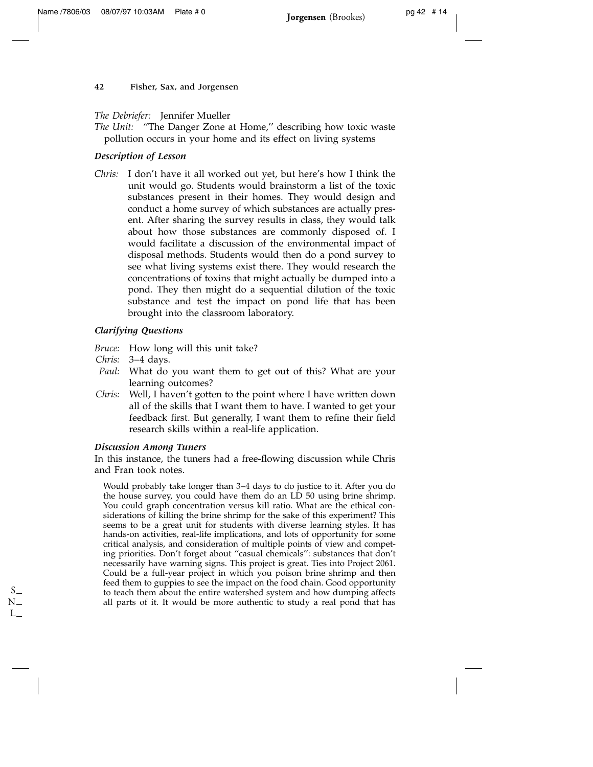# *The Debriefer:* Jennifer Mueller

*The Unit:* ''The Danger Zone at Home,'' describing how toxic waste pollution occurs in your home and its effect on living systems

# *Description of Lesson*

*Chris:* I don't have it all worked out yet, but here's how I think the unit would go. Students would brainstorm a list of the toxic substances present in their homes. They would design and conduct a home survey of which substances are actually present. After sharing the survey results in class, they would talk about how those substances are commonly disposed of. I would facilitate a discussion of the environmental impact of disposal methods. Students would then do a pond survey to see what living systems exist there. They would research the concentrations of toxins that might actually be dumped into a pond. They then might do a sequential dilution of the toxic substance and test the impact on pond life that has been brought into the classroom laboratory.

# *Clarifying Questions*

- *Bruce:* How long will this unit take?
- *Chris:* 3–4 days.

S  $N_{-}$  $L_{-}$ 

- *Paul:* What do you want them to get out of this? What are your learning outcomes?
- *Chris:* Well, I haven't gotten to the point where I have written down all of the skills that I want them to have. I wanted to get your feedback first. But generally, I want them to refine their field research skills within a real-life application.

# *Discussion Among Tuners*

In this instance, the tuners had a free-flowing discussion while Chris and Fran took notes.

Would probably take longer than 3–4 days to do justice to it. After you do the house survey, you could have them do an LD 50 using brine shrimp. You could graph concentration versus kill ratio. What are the ethical considerations of killing the brine shrimp for the sake of this experiment? This seems to be a great unit for students with diverse learning styles. It has hands-on activities, real-life implications, and lots of opportunity for some critical analysis, and consideration of multiple points of view and competing priorities. Don't forget about ''casual chemicals'': substances that don't necessarily have warning signs. This project is great. Ties into Project 2061. Could be a full-year project in which you poison brine shrimp and then feed them to guppies to see the impact on the food chain. Good opportunity to teach them about the entire watershed system and how dumping affects all parts of it. It would be more authentic to study a real pond that has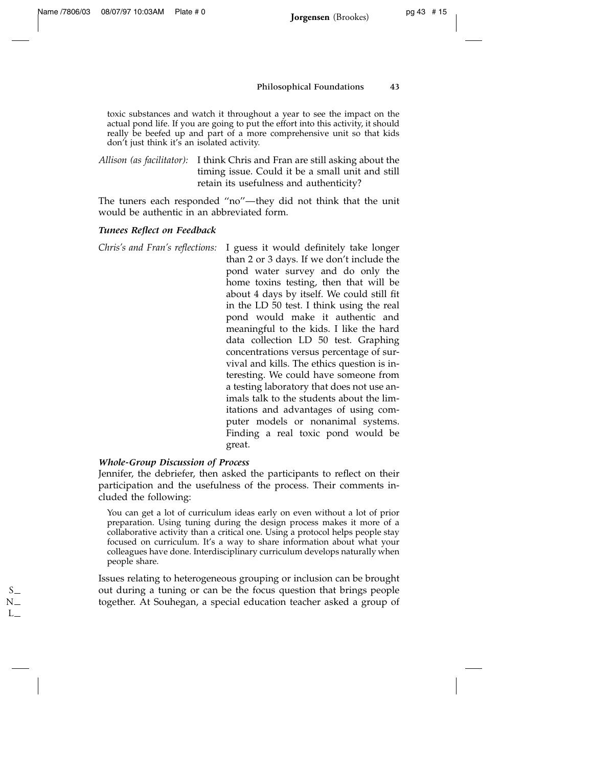toxic substances and watch it throughout a year to see the impact on the actual pond life. If you are going to put the effort into this activity, it should really be beefed up and part of a more comprehensive unit so that kids don't just think it's an isolated activity.

*Allison (as facilitator):* I think Chris and Fran are still asking about the timing issue. Could it be a small unit and still retain its usefulness and authenticity?

The tuners each responded ''no''—they did not think that the unit would be authentic in an abbreviated form.

### *Tunees Reflect on Feedback*

*Chris's and Fran's reflections:* I guess it would definitely take longer than 2 or 3 days. If we don't include the pond water survey and do only the home toxins testing, then that will be about 4 days by itself. We could still fit in the LD 50 test. I think using the real pond would make it authentic and meaningful to the kids. I like the hard data collection LD 50 test. Graphing concentrations versus percentage of survival and kills. The ethics question is interesting. We could have someone from a testing laboratory that does not use animals talk to the students about the limitations and advantages of using computer models or nonanimal systems. Finding a real toxic pond would be great.

# *Whole-Group Discussion of Process*

Jennifer, the debriefer, then asked the participants to reflect on their participation and the usefulness of the process. Their comments included the following:

You can get a lot of curriculum ideas early on even without a lot of prior preparation. Using tuning during the design process makes it more of a collaborative activity than a critical one. Using a protocol helps people stay focused on curriculum. It's a way to share information about what your colleagues have done. Interdisciplinary curriculum develops naturally when people share.

Issues relating to heterogeneous grouping or inclusion can be brought out during a tuning or can be the focus question that brings people together. At Souhegan, a special education teacher asked a group of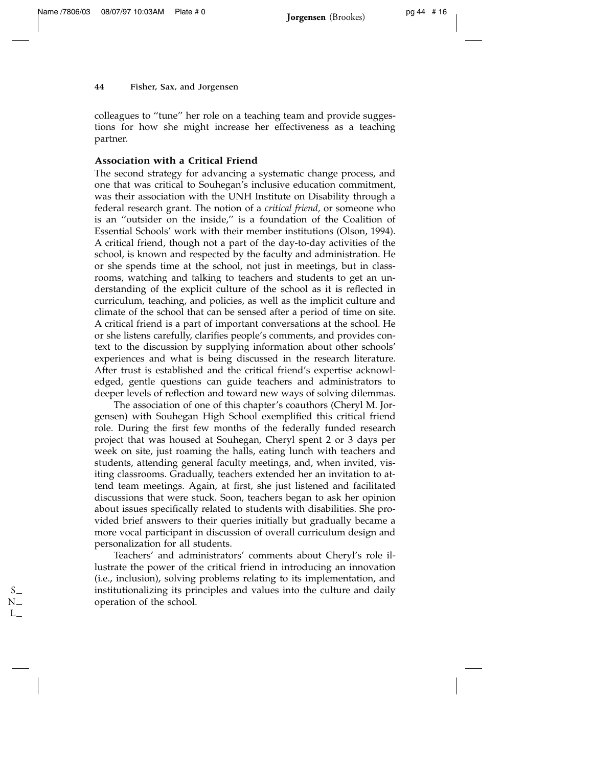colleagues to ''tune'' her role on a teaching team and provide suggestions for how she might increase her effectiveness as a teaching partner.

# **Association with a Critical Friend**

The second strategy for advancing a systematic change process, and one that was critical to Souhegan's inclusive education commitment, was their association with the UNH Institute on Disability through a federal research grant. The notion of a *critical friend,* or someone who is an ''outsider on the inside,'' is a foundation of the Coalition of Essential Schools' work with their member institutions (Olson, 1994). A critical friend, though not a part of the day-to-day activities of the school, is known and respected by the faculty and administration. He or she spends time at the school, not just in meetings, but in classrooms, watching and talking to teachers and students to get an understanding of the explicit culture of the school as it is reflected in curriculum, teaching, and policies, as well as the implicit culture and climate of the school that can be sensed after a period of time on site. A critical friend is a part of important conversations at the school. He or she listens carefully, clarifies people's comments, and provides context to the discussion by supplying information about other schools' experiences and what is being discussed in the research literature. After trust is established and the critical friend's expertise acknowledged, gentle questions can guide teachers and administrators to deeper levels of reflection and toward new ways of solving dilemmas.

The association of one of this chapter's coauthors (Cheryl M. Jorgensen) with Souhegan High School exemplified this critical friend role. During the first few months of the federally funded research project that was housed at Souhegan, Cheryl spent 2 or 3 days per week on site, just roaming the halls, eating lunch with teachers and students, attending general faculty meetings, and, when invited, visiting classrooms. Gradually, teachers extended her an invitation to attend team meetings. Again, at first, she just listened and facilitated discussions that were stuck. Soon, teachers began to ask her opinion about issues specifically related to students with disabilities. She provided brief answers to their queries initially but gradually became a more vocal participant in discussion of overall curriculum design and personalization for all students.

Teachers' and administrators' comments about Cheryl's role illustrate the power of the critical friend in introducing an innovation (i.e., inclusion), solving problems relating to its implementation, and institutionalizing its principles and values into the culture and daily operation of the school.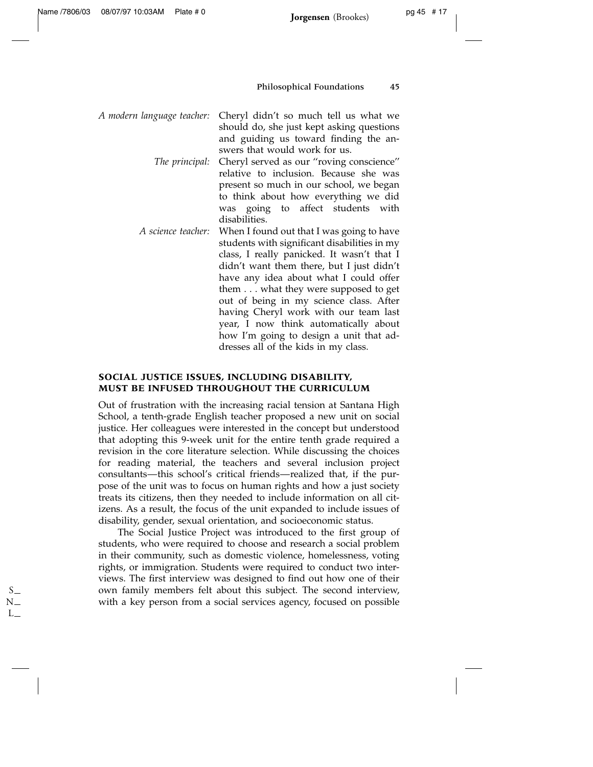- *A modern language teacher:* Cheryl didn't so much tell us what we should do, she just kept asking questions and guiding us toward finding the answers that would work for us.
	- *The principal:* Cheryl served as our ''roving conscience'' relative to inclusion. Because she was present so much in our school, we began to think about how everything we did was going to affect students with disabilities.
	- *A science teacher:* When I found out that I was going to have students with significant disabilities in my class, I really panicked. It wasn't that I didn't want them there, but I just didn't have any idea about what I could offer them . . . what they were supposed to get out of being in my science class. After having Cheryl work with our team last year, I now think automatically about how I'm going to design a unit that addresses all of the kids in my class.

# **SOCIAL JUSTICE ISSUES, INCLUDING DISABILITY, MUST BE INFUSED THROUGHOUT THE CURRICULUM**

Out of frustration with the increasing racial tension at Santana High School, a tenth-grade English teacher proposed a new unit on social justice. Her colleagues were interested in the concept but understood that adopting this 9-week unit for the entire tenth grade required a revision in the core literature selection. While discussing the choices for reading material, the teachers and several inclusion project consultants—this school's critical friends—realized that, if the purpose of the unit was to focus on human rights and how a just society treats its citizens, then they needed to include information on all citizens. As a result, the focus of the unit expanded to include issues of disability, gender, sexual orientation, and socioeconomic status.

The Social Justice Project was introduced to the first group of students, who were required to choose and research a social problem in their community, such as domestic violence, homelessness, voting rights, or immigration. Students were required to conduct two interviews. The first interview was designed to find out how one of their own family members felt about this subject. The second interview, with a key person from a social services agency, focused on possible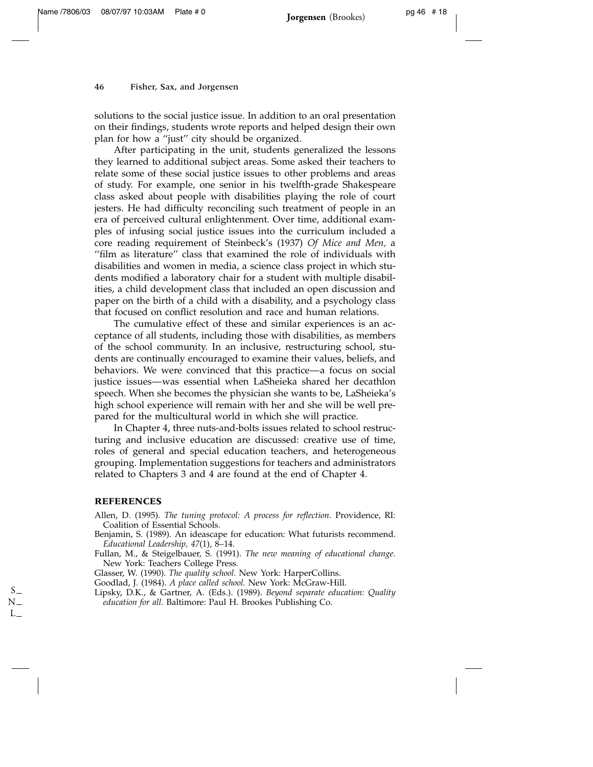solutions to the social justice issue. In addition to an oral presentation on their findings, students wrote reports and helped design their own plan for how a ''just'' city should be organized.

After participating in the unit, students generalized the lessons they learned to additional subject areas. Some asked their teachers to relate some of these social justice issues to other problems and areas of study. For example, one senior in his twelfth-grade Shakespeare class asked about people with disabilities playing the role of court jesters. He had difficulty reconciling such treatment of people in an era of perceived cultural enlightenment. Over time, additional examples of infusing social justice issues into the curriculum included a core reading requirement of Steinbeck's (1937) *Of Mice and Men,* a "film as literature" class that examined the role of individuals with disabilities and women in media, a science class project in which students modified a laboratory chair for a student with multiple disabilities, a child development class that included an open discussion and paper on the birth of a child with a disability, and a psychology class that focused on conflict resolution and race and human relations.

The cumulative effect of these and similar experiences is an acceptance of all students, including those with disabilities, as members of the school community. In an inclusive, restructuring school, students are continually encouraged to examine their values, beliefs, and behaviors. We were convinced that this practice—a focus on social justice issues—was essential when LaSheieka shared her decathlon speech. When she becomes the physician she wants to be, LaSheieka's high school experience will remain with her and she will be well prepared for the multicultural world in which she will practice.

In Chapter 4, three nuts-and-bolts issues related to school restructuring and inclusive education are discussed: creative use of time, roles of general and special education teachers, and heterogeneous grouping. Implementation suggestions for teachers and administrators related to Chapters 3 and 4 are found at the end of Chapter 4.

# **REFERENCES**

S  $N_{-}$  $L_{-}$  Allen, D. (1995). *The tuning protocol: A process for reflection.* Providence, RI: Coalition of Essential Schools.

Benjamin, S. (1989). An ideascape for education: What futurists recommend. *Educational Leadership, 47*(1), 8–14.

Fullan, M., & Steigelbauer, S. (1991). *The new meaning of educational change.* New York: Teachers College Press.

Glasser, W. (1990). *The quality school.* New York: HarperCollins.

Goodlad, J. (1984). *A place called school.* New York: McGraw-Hill.

Lipsky, D.K., & Gartner, A. (Eds.). (1989). *Beyond separate education: Quality education for all.* Baltimore: Paul H. Brookes Publishing Co.